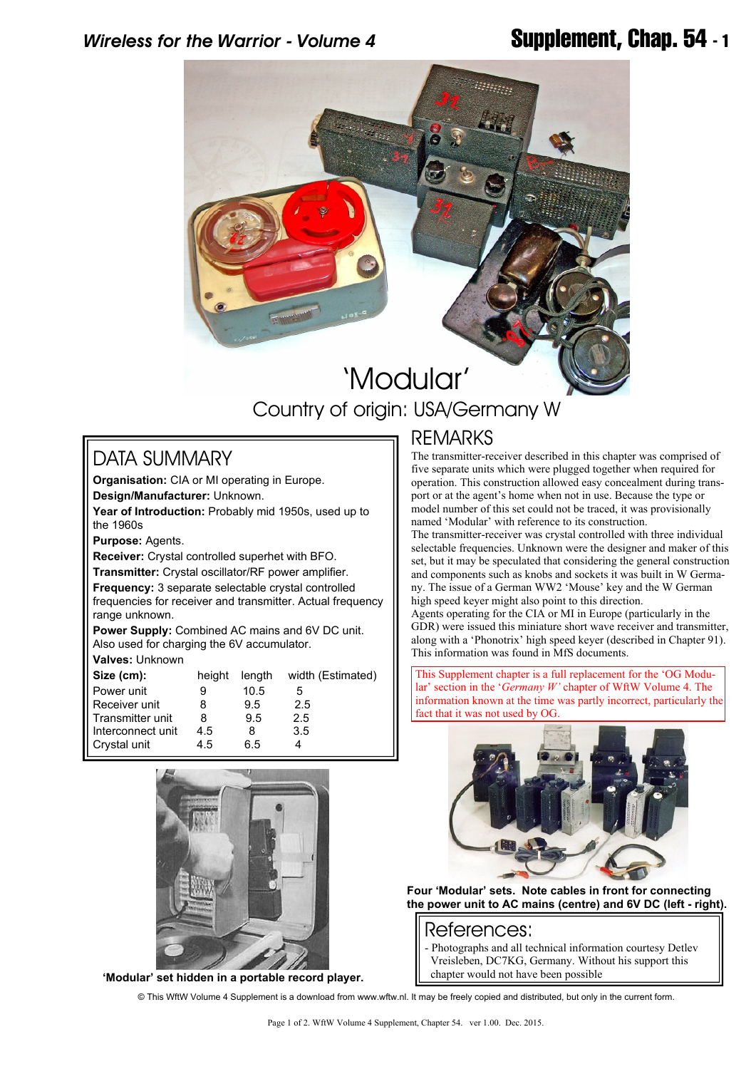## *Wireless for the Warrior - Volume 4* **Supplement, Chap. 54 - 1**



# 'Modular' Country of origin: USA/Germany W

### DATA SUMMARY

**Organisation:** CIA or MI operating in Europe. **Design/Manufacturer:** Unknown.

**Year of Introduction:** Probably mid 1950s, used up to the 1960s

**Purpose:** Agents.

**Receiver:** Crystal controlled superhet with BFO.

**Transmitter:** Crystal oscillator/RF power amplifier. **Frequency:** 3 separate selectable crystal controlled frequencies for receiver and transmitter. Actual frequency range unknown.

**Power Supply:** Combined AC mains and 6V DC unit. Also used for charging the 6V accumulator. **Valves:** Unknown

| Size (cm):        | height | length | width (Estimated) |
|-------------------|--------|--------|-------------------|
| Power unit        |        | 10.5   | 5                 |
| Receiver unit     | 8      | 9.5    | 2.5               |
| Transmitter unit  | 8      | 9.5    | 2.5               |
| Interconnect unit | 4.5    | 8      | 3.5               |
| Crystal unit      | 4.5    | 6.5    |                   |



**'Modular' set hidden in a portable record player.**

### **REMARKS**

The transmitter-receiver described in this chapter was comprised of five separate units which were plugged together when required for operation. This construction allowed easy concealment during transport or at the agent's home when not in use. Because the type or model number of this set could not be traced, it was provisionally named 'Modular' with reference to its construction.

The transmitter-receiver was crystal controlled with three individual selectable frequencies. Unknown were the designer and maker of this set, but it may be speculated that considering the general construction and components such as knobs and sockets it was built in W Germany. The issue of a German WW2 'Mouse' key and the W German high speed keyer might also point to this direction.

Agents operating for the CIA or MI in Europe (particularly in the GDR) were issued this miniature short wave receiver and transmitter, along with a 'Phonotrix' high speed keyer (described in Chapter 91). This information was found in MfS documents.

This Supplement chapter is a full replacement for the 'OG Modular' section in the '*Germany W'* chapter of WftW Volume 4. The information known at the time was partly incorrect, particularly the fact that it was not used by OG



**Four 'Modular' sets. Note cables in front for connecting the power unit to AC mains (centre) and 6V DC (left - right).**

#### References:

Photographs and all technical information courtesy Detlev Vreisleben, DC7KG, Germany. Without his support this chapter would not have been possible

© This WftW Volume 4 Supplement is a download from www.wftw.nl. It may be freely copied and distributed, but only in the current form.